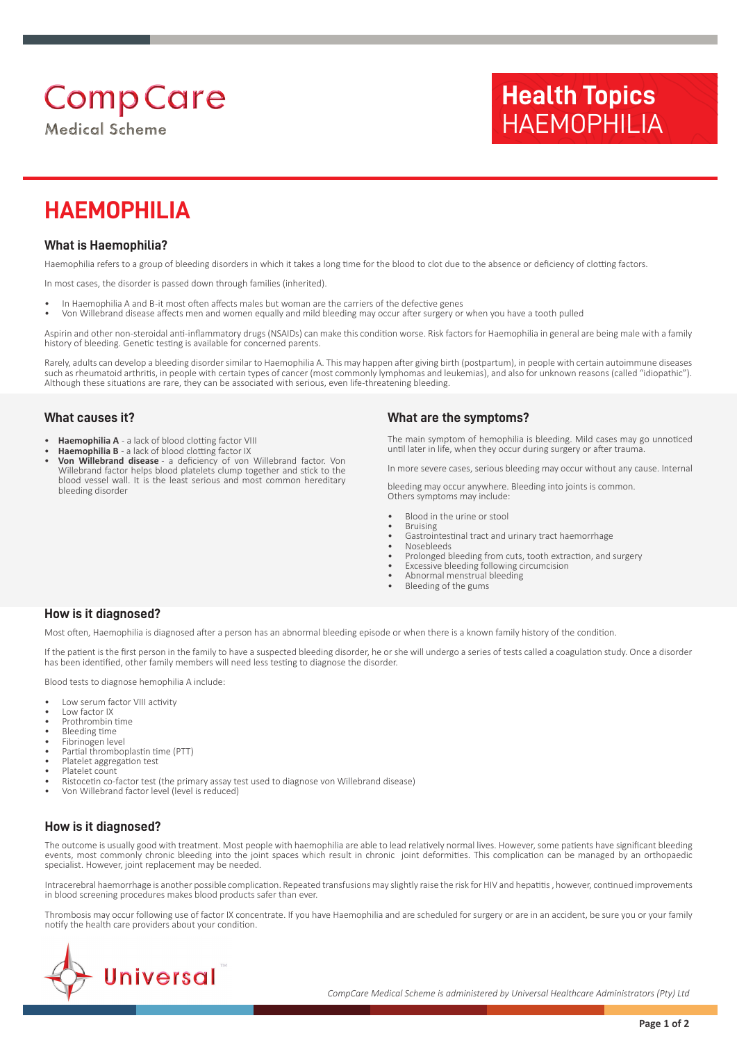# **Comp Care**

**Medical Scheme** 

# **Health Topics** HAEMOPHILIA

# **HAEMOPHILIA**

# **What is Haemophilia?**

Haemophilia refers to a group of bleeding disorders in which it takes a long time for the blood to clot due to the absence or deficiency of clotting factors.

In most cases, the disorder is passed down through families (inherited).

- In Haemophilia A and B-it most often affects males but woman are the carriers of the defective genes
- Von Willebrand disease affects men and women equally and mild bleeding may occur after surgery or when you have a tooth pulled

Aspirin and other non-steroidal anti-inflammatory drugs (NSAIDs) can make this condition worse. Risk factors for Haemophilia in general are being male with a family history of bleeding. Genetic testing is available for concerned parents.

Rarely, adults can develop a bleeding disorder similar to Haemophilia A. This may happen after giving birth (postpartum), in people with certain autoimmune diseases such as rheumatoid arthritis, in people with certain types of cancer (most commonly lymphomas and leukemias), and also for unknown reasons (called "idiopathic"). Although these situations are rare, they can be associated with serious, even life-threatening bleeding.

#### **What causes it?**

- **Haemophilia A** a lack of blood clotting factor VIII
- **Haemophilia B** a lack of blood clotting factor IX
- **Von Willebrand disease** a deficiency of von Willebrand factor. Von Willebrand factor helps blood platelets clump together and stick to the blood vessel wall. It is the least serious and most common hereditary bleeding disorder

### **What are the symptoms?**

The main symptom of hemophilia is bleeding. Mild cases may go unnoticed until later in life, when they occur during surgery or after trauma.

In more severe cases, serious bleeding may occur without any cause. Internal

bleeding may occur anywhere. Bleeding into joints is common. Others symptoms may include:

- Blood in the urine or stool
- **Bruising**
- Gastrointestinal tract and urinary tract haemorrhage
- Nosebleeds
- Prolonged bleeding from cuts, tooth extraction, and surgery
- Excessive bleeding following circumcision
- Abnormal menstrual bleeding
- Bleeding of the gums

#### **How is it diagnosed?**

Most often, Haemophilia is diagnosed after a person has an abnormal bleeding episode or when there is a known family history of the condition.

If the patient is the first person in the family to have a suspected bleeding disorder, he or she will undergo a series of tests called a coagulation study. Once a disorder has been identified, other family members will need less testing to diagnose the disorder.

Blood tests to diagnose hemophilia A include:

- Low serum factor VIII activity
- Low factor IX
- Prothrombin time
- Bleeding time • Fibrinogen level
- Partial thromboplastin time (PTT)
- Platelet aggregation test
- Platelet count
- Ristocetin co-factor test (the primary assay test used to diagnose von Willebrand disease)
- Von Willebrand factor level (level is reduced)

# **How is it diagnosed?**

The outcome is usually good with treatment. Most people with haemophilia are able to lead relatively normal lives. However, some patients have significant bleeding events, most commonly chronic bleeding into the joint spaces which result in chronic joint deformities. This complication can be managed by an orthopaedic specialist. However, joint replacement may be needed.

Intracerebral haemorrhage is another possible complication. Repeated transfusions may slightly raise the risk for HIV and hepatitis , however, continued improvements in blood screening procedures makes blood products safer than ever.

Thrombosis may occur following use of factor IX concentrate. If you have Haemophilia and are scheduled for surgery or are in an accident, be sure you or your family notify the health care providers about your condition.